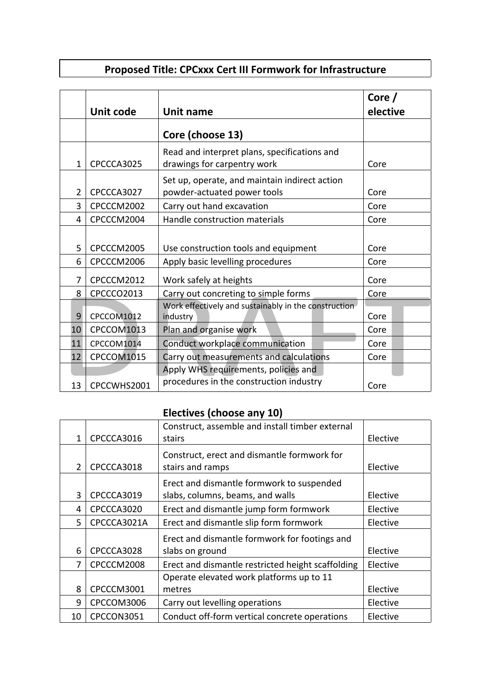## **Proposed Title: CPCxxx Cert III Formwork for Infrastructure**

|                | Unit code   | Unit name                                                                       | Core $/$<br>elective |
|----------------|-------------|---------------------------------------------------------------------------------|----------------------|
|                |             | Core (choose 13)                                                                |                      |
| 1              | CPCCCA3025  | Read and interpret plans, specifications and<br>drawings for carpentry work     | Core                 |
| $\overline{2}$ | CPCCCA3027  | Set up, operate, and maintain indirect action<br>powder-actuated power tools    | Core                 |
| 3              | CPCCCM2002  | Carry out hand excavation                                                       | Core                 |
| 4              | CPCCCM2004  | Handle construction materials                                                   | Core                 |
| 5              | CPCCCM2005  | Use construction tools and equipment                                            | Core                 |
| 6              | CPCCCM2006  | Apply basic levelling procedures                                                | Core                 |
| 7              | CPCCCM2012  | Work safely at heights                                                          | Core                 |
| 8              | CPCCCO2013  | Carry out concreting to simple forms                                            | Core                 |
| 9              | CPCCOM1012  | Work effectively and sustainably in the construction<br>industry                | Core                 |
| 10             | CPCCOM1013  | Plan and organise work                                                          | Core                 |
| 11             | CPCCOM1014  | Conduct workplace communication                                                 | Core                 |
| 12             | CPCCOM1015  | Carry out measurements and calculations                                         | Core                 |
|                |             | Apply WHS requirements, policies and<br>procedures in the construction industry |                      |
| 13             | CPCCWHS2001 |                                                                                 | Core                 |

## **Electives (choose any 10)**

|    |                              | Construct, assemble and install timber external   |          |
|----|------------------------------|---------------------------------------------------|----------|
|    | CPCCCA3016<br>1              | stairs                                            | Elective |
|    |                              | Construct, erect and dismantle formwork for       |          |
|    | $\overline{2}$<br>CPCCCA3018 | stairs and ramps                                  | Elective |
|    |                              | Erect and dismantle formwork to suspended         |          |
|    | 3<br>CPCCCA3019              | slabs, columns, beams, and walls                  | Elective |
|    | CPCCCA3020<br>4              | Erect and dismantle jump form formwork            | Elective |
|    | CPCCCA3021A<br>5.            | Erect and dismantle slip form formwork            | Elective |
|    |                              | Erect and dismantle formwork for footings and     |          |
|    | 6<br>CPCCCA3028              | slabs on ground                                   | Elective |
|    | CPCCCM2008<br>7              | Erect and dismantle restricted height scaffolding | Elective |
|    |                              | Operate elevated work platforms up to 11          |          |
|    | 8<br>CPCCCM3001              | metres                                            | Elective |
|    | CPCCOM3006<br>9              | Carry out levelling operations                    | Elective |
| 10 | CPCCON3051                   | Conduct off-form vertical concrete operations     | Elective |